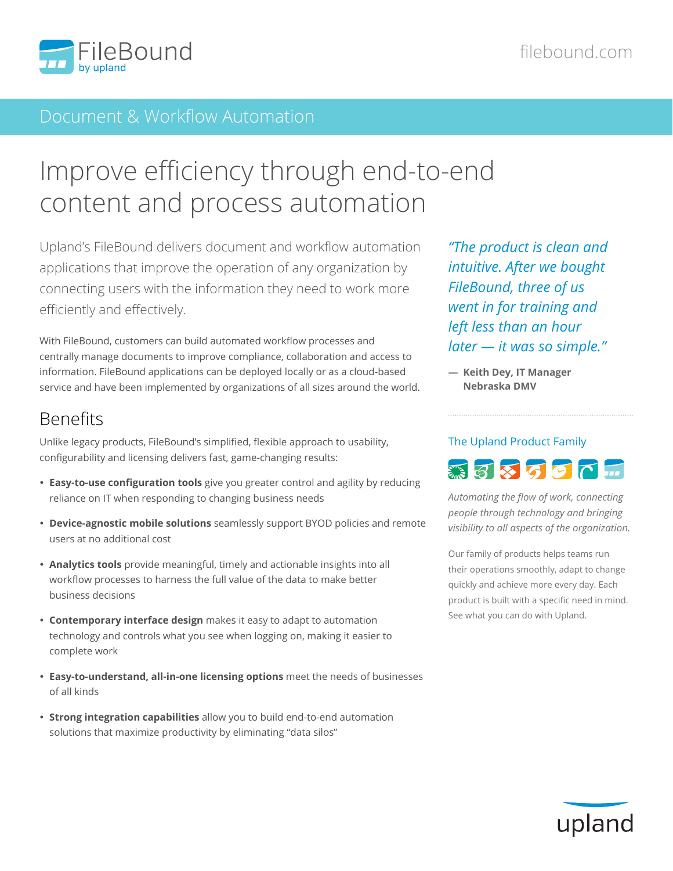

### Document & Workflow Automation

# Improve efficiency through end-to-end content and process automation

Upland's FileBound delivers document and workflow automation applications that improve the operation of any organization by connecting users with the information they need to work more efficiently and effectively.

With FileBound, customers can build automated workflow processes and centrally manage documents to improve compliance, collaboration and access to information. FileBound applications can be deployed locally or as a cloud-based service and have been implemented by organizations of all sizes around the world.

## Benefits

Unlike legacy products, FileBound's simplified, flexible approach to usability, configurability and licensing delivers fast, game-changing results:

- **Easy-to-use configuration tools** give you greater control and agility by reducing reliance on IT when responding to changing business needs
- **Device-agnostic mobile solutions** seamlessly support BYOD policies and remote users at no additional cost
- **Analytics tools** provide meaningful, timely and actionable insights into all workflow processes to harness the full value of the data to make better business decisions
- **Contemporary interface design** makes it easy to adapt to automation technology and controls what you see when logging on, making it easier to complete work
- **Easy-to-understand, all-in-one licensing options** meet the needs of businesses of all kinds
- **Strong integration capabilities** allow you to build end-to-end automation solutions that maximize productivity by eliminating "data silos"

*"The product is clean and intuitive. After we bought FileBound, three of us went in for training and left less than an hour later — it was so simple."*

**― Keith Dey, IT Manager Nebraska DMV**

# The Upland Product Family

Sastor L

*Automating the flow of work, connecting people through technology and bringing visibility to all aspects of the organization.*

Our family of products helps teams run their operations smoothly, adapt to change quickly and achieve more every day. Each product is built with a specific need in mind. See what you can do with Upland.